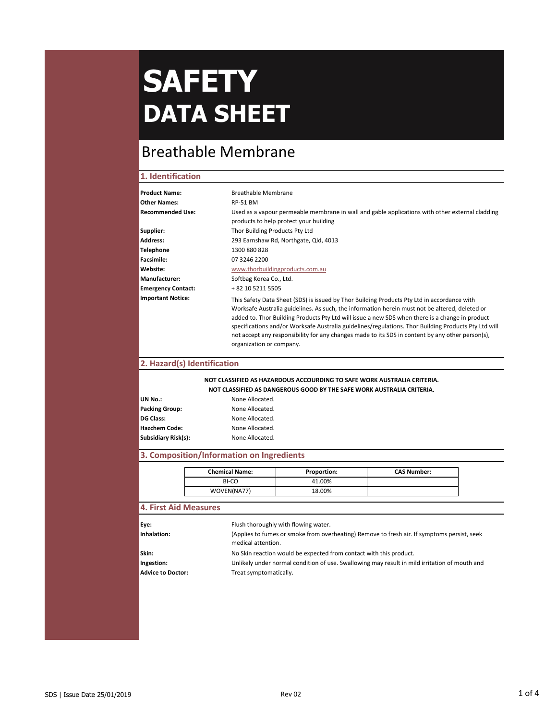### Breathable Membrane

### **1. Identification**

| <b>Product Name:</b>      | <b>Breathable Membrane</b>                                                                                                                                                                                                                                                                                                                                                                                                                                                                                                               |
|---------------------------|------------------------------------------------------------------------------------------------------------------------------------------------------------------------------------------------------------------------------------------------------------------------------------------------------------------------------------------------------------------------------------------------------------------------------------------------------------------------------------------------------------------------------------------|
| <b>Other Names:</b>       | <b>RP-51 BM</b>                                                                                                                                                                                                                                                                                                                                                                                                                                                                                                                          |
| Recommended Use:          | Used as a vapour permeable membrane in wall and gable applications with other external cladding<br>products to help protect your building                                                                                                                                                                                                                                                                                                                                                                                                |
| Supplier:                 | Thor Building Products Pty Ltd                                                                                                                                                                                                                                                                                                                                                                                                                                                                                                           |
| Address:                  | 293 Earnshaw Rd, Northgate, Qld, 4013                                                                                                                                                                                                                                                                                                                                                                                                                                                                                                    |
| Telephone                 | 1300 880 828                                                                                                                                                                                                                                                                                                                                                                                                                                                                                                                             |
| <b>Facsimile:</b>         | 07 3246 2200                                                                                                                                                                                                                                                                                                                                                                                                                                                                                                                             |
| Website:                  | www.thorbuildingproducts.com.au                                                                                                                                                                                                                                                                                                                                                                                                                                                                                                          |
| <b>Manufacturer:</b>      | Softbag Korea Co., Ltd.                                                                                                                                                                                                                                                                                                                                                                                                                                                                                                                  |
| <b>Emergency Contact:</b> | + 82 10 5211 5505                                                                                                                                                                                                                                                                                                                                                                                                                                                                                                                        |
| <b>Important Notice:</b>  | This Safety Data Sheet (SDS) is issued by Thor Building Products Pty Ltd in accordance with<br>Worksafe Australia guidelines. As such, the information herein must not be altered, deleted or<br>added to. Thor Building Products Pty Ltd will issue a new SDS when there is a change in product<br>specifications and/or Worksafe Australia guidelines/regulations. Thor Building Products Pty Ltd will<br>not accept any responsibility for any changes made to its SDS in content by any other person(s),<br>organization or company. |

### **2. Hazard(s) Identification**

### **NOT CLASSIFIED AS HAZARDOUS ACCOURDING TO SAFE WORK AUSTRALIA CRITERIA.**

| NOT CLASSIFIED AS DANGEROUS GOOD BY THE SAFE WORK AUSTRALIA CRITERIA. |
|-----------------------------------------------------------------------|
|                                                                       |

| UN No.:                    | None Allocated. |
|----------------------------|-----------------|
| <b>Packing Group:</b>      | None Allocated. |
| DG Class:                  | None Allocated. |
| <b>Hazchem Code:</b>       | None Allocated. |
| <b>Subsidiary Risk(s):</b> | None Allocated. |

### **3. Composition/Information on Ingredients**

| <b>Chemical Name:</b> | <b>Proportion:</b> | <b>CAS Number:</b> |
|-----------------------|--------------------|--------------------|
| BI-CO                 | 41.00%             |                    |
| WOVEN(NA77)           | 18.00%             |                    |

### **4. First Aid Measures**

| Eye:              | Flush thoroughly with flowing water.                                                                              |
|-------------------|-------------------------------------------------------------------------------------------------------------------|
| Inhalation:       | (Applies to fumes or smoke from overheating) Remove to fresh air. If symptoms persist, seek<br>medical attention. |
| Skin:             | No Skin reaction would be expected from contact with this product.                                                |
| Ingestion:        | Unlikely under normal condition of use. Swallowing may result in mild irritation of mouth and                     |
| Advice to Doctor: | Treat symptomatically.                                                                                            |
|                   |                                                                                                                   |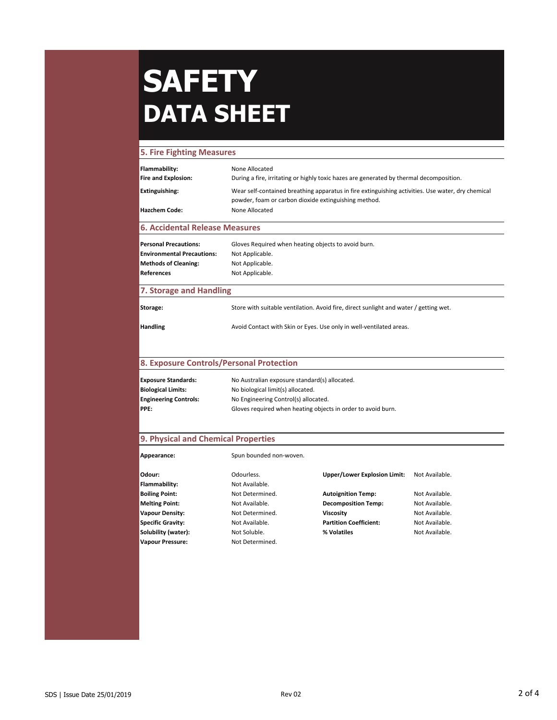### **5. Fire Fighting Measures**

| Flammability:                         | None Allocated                                                                                                                                            |  |
|---------------------------------------|-----------------------------------------------------------------------------------------------------------------------------------------------------------|--|
| <b>Fire and Explosion:</b>            | During a fire, irritating or highly toxic hazes are generated by thermal decomposition.                                                                   |  |
| Extinguishing:                        | Wear self-contained breathing apparatus in fire extinguishing activities. Use water, dry chemical<br>powder, foam or carbon dioxide extinguishing method. |  |
| <b>Hazchem Code:</b>                  | None Allocated                                                                                                                                            |  |
| <b>6. Accidental Release Measures</b> |                                                                                                                                                           |  |
| <b>Personal Precautions:</b>          | Gloves Required when heating objects to avoid burn.                                                                                                       |  |
| <b>Environmental Precautions:</b>     | Not Applicable.                                                                                                                                           |  |
| <b>Methods of Cleaning:</b>           | Not Applicable.                                                                                                                                           |  |
| <b>References</b>                     | Not Applicable.                                                                                                                                           |  |
| 7. Storage and Handling               |                                                                                                                                                           |  |
| Storage:                              | Store with suitable ventilation. Avoid fire, direct sunlight and water / getting wet.                                                                     |  |
| <b>Handling</b>                       | Avoid Contact with Skin or Eyes. Use only in well-ventilated areas.                                                                                       |  |

### **8. Exposure Controls/Personal Protection**

| <b>Exposure Standards:</b>   | No Australian exposure standard(s) allocated.                |
|------------------------------|--------------------------------------------------------------|
| <b>Biological Limits:</b>    | No biological limit(s) allocated.                            |
| <b>Engineering Controls:</b> | No Engineering Control(s) allocated.                         |
| <b>PPE:</b>                  | Gloves required when heating objects in order to avoid burn. |

### **9. Physical and Chemical Properties**

| Appearance:              | Spun bounded non-woven. |                                     |                |
|--------------------------|-------------------------|-------------------------------------|----------------|
| Odour:                   | Odourless.              | <b>Upper/Lower Explosion Limit:</b> | Not Available. |
| Flammability:            | Not Available.          |                                     |                |
| <b>Boiling Point:</b>    | Not Determined.         | <b>Autoignition Temp:</b>           | Not Available. |
| <b>Melting Point:</b>    | Not Available.          | <b>Decomposition Temp:</b>          | Not Available. |
| Vapour Density:          | Not Determined.         | <b>Viscosity</b>                    | Not Available. |
| <b>Specific Gravity:</b> | Not Available.          | <b>Partition Coefficient:</b>       | Not Available. |
| Solubility (water):      | Not Soluble.            | % Volatiles                         | Not Available. |
| <b>Vapour Pressure:</b>  | Not Determined.         |                                     |                |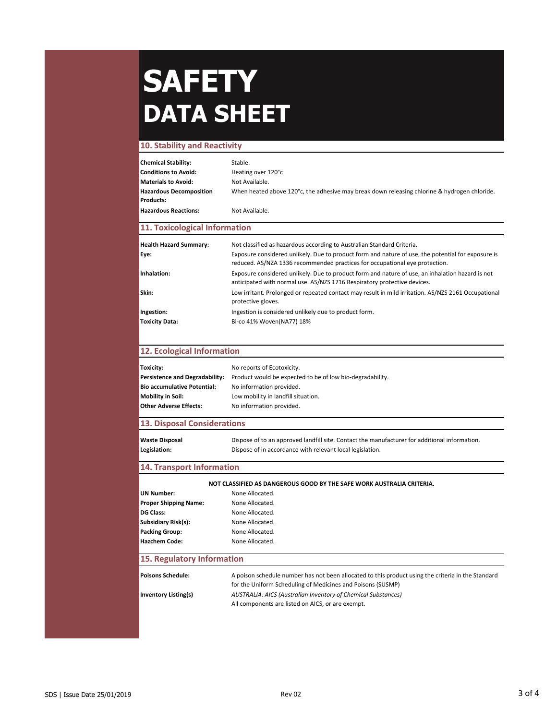#### **10. Stability and Reactivity**

| <b>Chemical Stability:</b>     | Stable.                                                                                      |
|--------------------------------|----------------------------------------------------------------------------------------------|
| <b>Conditions to Avoid:</b>    | Heating over 120°c                                                                           |
| Materials to Avoid:            | Not Available.                                                                               |
| <b>Hazardous Decomposition</b> | When heated above 120°c, the adhesive may break down releasing chlorine & hydrogen chloride. |
| <b>Products:</b>               |                                                                                              |
| <b>Hazardous Reactions:</b>    | Not Available.                                                                               |

#### **11. Toxicological Information**

| <b>Health Hazard Summary:</b><br>Eye: | Not classified as hazardous according to Australian Standard Criteria.<br>Exposure considered unlikely. Due to product form and nature of use, the potential for exposure is<br>reduced. AS/NZA 1336 recommended practices for occupational eye protection. |
|---------------------------------------|-------------------------------------------------------------------------------------------------------------------------------------------------------------------------------------------------------------------------------------------------------------|
| Inhalation:                           | Exposure considered unlikely. Due to product form and nature of use, an inhalation hazard is not<br>anticipated with normal use. AS/NZS 1716 Respiratory protective devices.                                                                                |
| Skin:                                 | Low irritant. Prolonged or repeated contact may result in mild irritation. AS/NZS 2161 Occupational<br>protective gloves.                                                                                                                                   |
| Ingestion:                            | Ingestion is considered unlikely due to product form.                                                                                                                                                                                                       |
| <b>Toxicity Data:</b>                 | Bi-co 41% Woven(NA77) 18%                                                                                                                                                                                                                                   |

#### **12. Ecological Information**

| Toxicity:                             | No reports of Ecotoxicity.                                |
|---------------------------------------|-----------------------------------------------------------|
| <b>Persistence and Degradability:</b> | Product would be expected to be of low bio-degradability. |
| <b>Bio accumulative Potential:</b>    | No information provided.                                  |
| Mobility in Soil:                     | Low mobility in landfill situation.                       |
| Other Adverse Effects:                | No information provided.                                  |
|                                       |                                                           |

### **13. Disposal Considerations**

| <b>Waste Disposal</b> |
|-----------------------|
| Legislation:          |

**Waste Disposal** Dispose of to an approved landfill site. Contact the manufacturer for additional information. **Legislation:** Dispose of in accordance with relevant local legislation.

### **14. Transport Information**

#### **NOT CLASSIFIED AS DANGEROUS GOOD BY THE SAFE WORK AUSTRALIA CRITERIA.**

| <b>UN Number:</b>            | None Allocated. |
|------------------------------|-----------------|
| <b>Proper Shipping Name:</b> | None Allocated. |
| <b>DG Class:</b>             | None Allocated. |
| Subsidiary Risk(s):          | None Allocated. |
| <b>Packing Group:</b>        | None Allocated. |
| <b>Hazchem Code:</b>         | None Allocated. |
|                              |                 |

### **15. Regulatory Information**

| <b>Poisons Schedule:</b>    | A poison schedule number has not been allocated to this product using the criteria in the Standard<br>for the Uniform Scheduling of Medicines and Poisons (SUSMP) |
|-----------------------------|-------------------------------------------------------------------------------------------------------------------------------------------------------------------|
| <b>Inventory Listing(s)</b> | AUSTRALIA: AICS (Australian Inventory of Chemical Substances)<br>All components are listed on AICS, or are exempt.                                                |